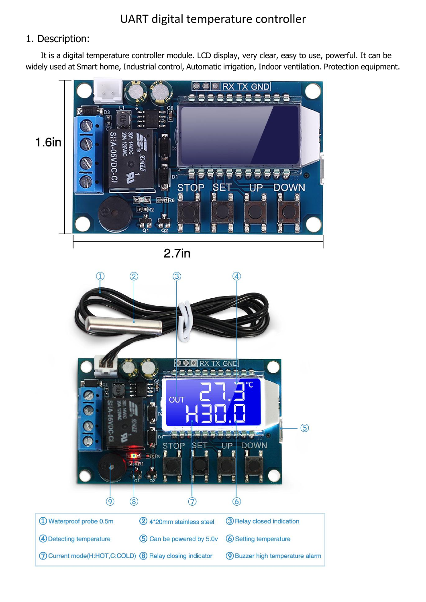### 1. Description:

It is a digital temperature controller module. LCD display, very clear, easy to use, powerful. It can be widely used at Smart home, Industrial control, Automatic irrigation, Indoor ventilation. Protection equipment.



 $2.7<sub>in</sub>$ 

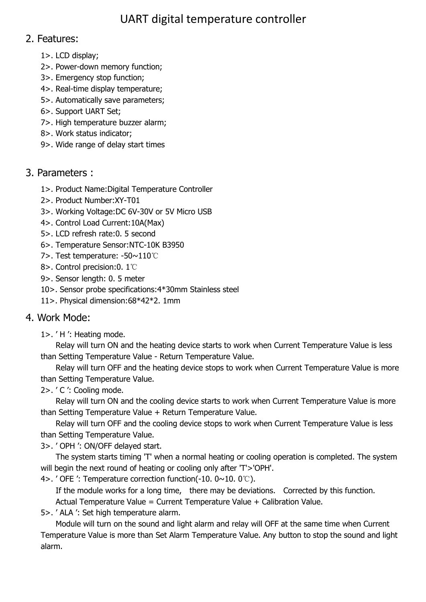## 2. Features:

- 1>. LCD display;
- 2>. Power-down memory function;
- 3>. Emergency stop function;
- 4>. Real-time display temperature;
- 5>. Automatically save parameters;
- 6>. Support UART Set;
- 7>. High temperature buzzer alarm;
- 8>. Work status indicator;
- 9>. Wide range of delay start times

## 3. Parameters :

- 1>. Product Name:Digital Temperature Controller
- 2>. Product Number:XY-T01
- 3>. Working Voltage:DC 6V-30V or 5V Micro USB
- 4>. Control Load Current:10A(Max)
- 5>. LCD refresh rate:0. 5 second
- 6>. Temperature Sensor:NTC-10K B3950
- 7>. Test temperature: -50~110℃
- 8>. Control precision:0. 1℃
- 9>. Sensor length: 0. 5 meter
- 10>. Sensor probe specifications:4\*30mm Stainless steel
- 11>. Physical dimension:68\*42\*2. 1mm

# 4. Work Mode:

1>. ' H ': Heating mode.

Relay will turn ON and the heating device starts to work when Current Temperature Value is less than Setting Temperature Value - Return Temperature Value.

Relay will turn OFF and the heating device stops to work when Current Temperature Value is more than Setting Temperature Value.

2>. ' C ': Cooling mode.

Relay will turn ON and the cooling device starts to work when Current Temperature Value is more than Setting Temperature Value + Return Temperature Value.

Relay will turn OFF and the cooling device stops to work when Current Temperature Value is less than Setting Temperature Value.

3>. ' OPH ': ON/OFF delayed start.

The system starts timing 'T' when a normal heating or cooling operation is completed. The system will begin the next round of heating or cooling only after 'T'>'OPH'.

4>. ' OFE ': Temperature correction function(-10. 0~10. 0℃).

If the module works for a long time, there may be deviations. Corrected by this function.

Actual Temperature Value = Current Temperature Value + Calibration Value.

5>. ' ALA ': Set high temperature alarm.

Module will turn on the sound and light alarm and relay will OFF at the same time when Current Temperature Value is more than Set Alarm Temperature Value. Any button to stop the sound and light alarm.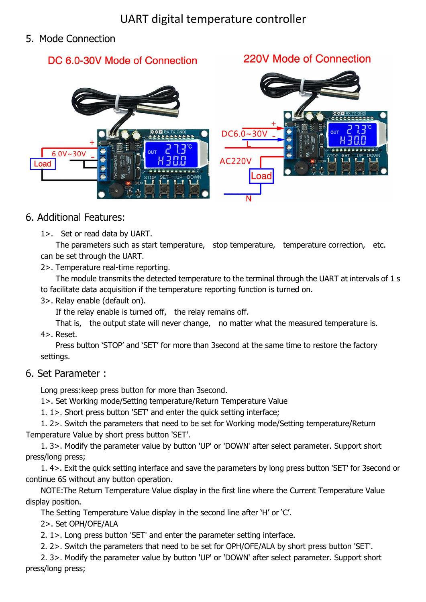## 5. Mode Connection

# DC 6.0-30V Mode of Connection

## 220V Mode of Connection



## 6. Additional Features:

1>. Set or read data by UART.

The parameters such as start temperature, stop temperature, temperature correction, etc. can be set through the UART.

2>. Temperature real-time reporting.

The module transmits the detected temperature to the terminal through the UART at intervals of 1 s to facilitate data acquisition if the temperature reporting function is turned on.

3>. Relay enable (default on).

If the relay enable is turned off, the relay remains off.

That is, the output state will never change, no matter what the measured temperature is. 4>. Reset.

Press button 'STOP' and 'SET' for more than 3second at the same time to restore the factory settings.

#### 6. Set Parameter :

Long press:keep press button for more than 3second.

1>. Set Working mode/Setting temperature/Return Temperature Value

1. 1>. Short press button 'SET' and enter the quick setting interface;

1. 2>. Switch the parameters that need to be set for Working mode/Setting temperature/Return Temperature Value by short press button 'SET'.

1. 3>. Modify the parameter value by button 'UP' or 'DOWN' after select parameter. Support short press/long press;

1. 4>. Exit the quick setting interface and save the parameters by long press button 'SET' for 3second or continue 6S without any button operation.

NOTE: The Return Temperature Value display in the first line where the Current Temperature Value display position.

The Setting Temperature Value display in the second line after 'H' or 'C'.

2>. Set OPH/OFE/ALA

2. 1>. Long press button 'SET' and enter the parameter setting interface.

2. 2>. Switch the parameters that need to be set for OPH/OFE/ALA by short press button 'SET'.

2. 3>. Modify the parameter value by button 'UP' or 'DOWN' after select parameter. Support short press/long press;